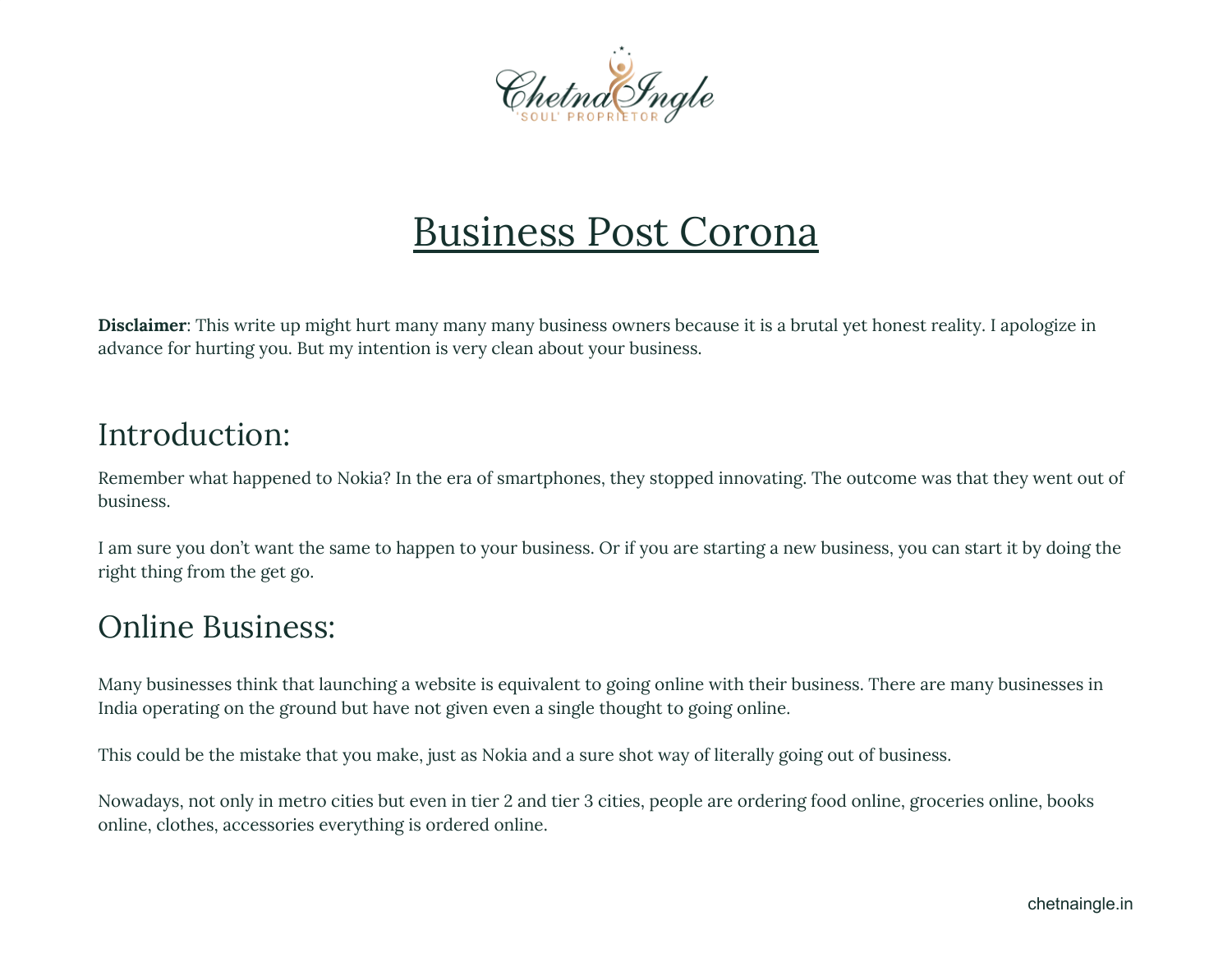

# Business Post Corona

**Disclaimer**: This write up might hurt many many many business owners because it is a brutal yet honest reality. I apologize in advance for hurting you. But my intention is very clean about your business.

# Introduction:

Remember what happened to Nokia? In the era of smartphones, they stopped innovating. The outcome was that they went out of business.

I am sure you don't want the same to happen to your business. Or if you are starting a new business, you can start it by doing the right thing from the get go.

# Online Business:

Many businesses think that launching a website is equivalent to going online with their business. There are many businesses in India operating on the ground but have not given even a single thought to going online.

This could be the mistake that you make, just as Nokia and a sure shot way of literally going out of business.

Nowadays, not only in metro cities but even in tier 2 and tier 3 cities, people are ordering food online, groceries online, books online, clothes, accessories everything is ordered online.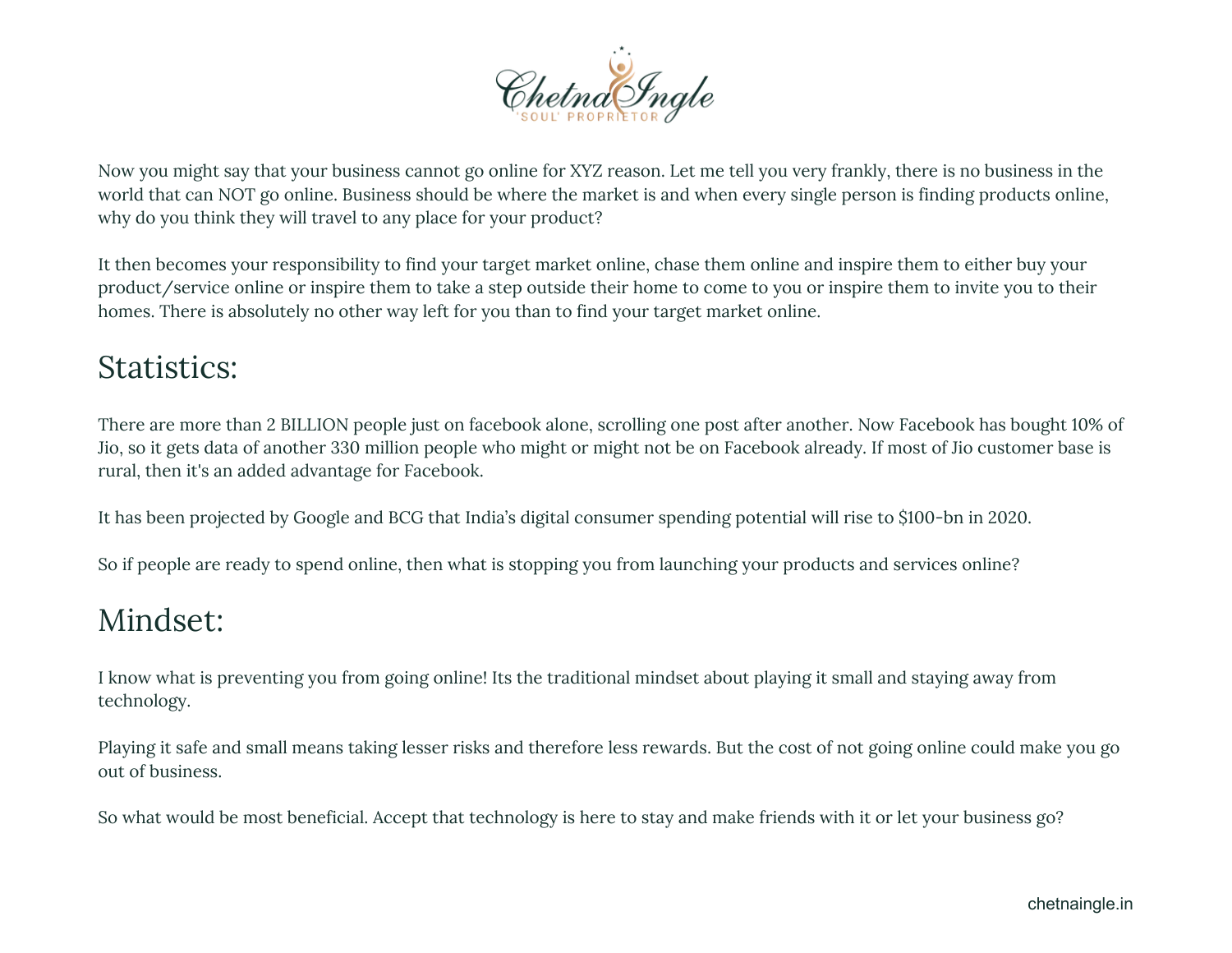

Now you might say that your business cannot go online for XYZ reason. Let me tell you very frankly, there is no business in the world that can NOT go online. Business should be where the market is and when every single person is finding products online, why do you think they will travel to any place for your product?

It then becomes your responsibility to find your target market online, chase them online and inspire them to either buy your product/service online or inspire them to take a step outside their home to come to you or inspire them to invite you to their homes. There is absolutely no other way left for you than to find your target market online.

# Statistics:

There are more than 2 BILLION people just on facebook alone, scrolling one post after another. Now Facebook has bought 10% of Jio, so it gets data of another 330 million people who might or might not be on Facebook already. If most of Jio customer base is rural, then it's an added advantage for Facebook.

It has been projected by Google and BCG that India's digital consumer spending potential will rise to \$100-bn in 2020.

So if people are ready to spend online, then what is stopping you from launching your products and services online?

# Mindset:

I know what is preventing you from going online! Its the traditional mindset about playing it small and staying away from technology.

Playing it safe and small means taking lesser risks and therefore less rewards. But the cost of not going online could make you go out of business.

So what would be most beneficial. Accept that technology is here to stay and make friends with it or let your business go?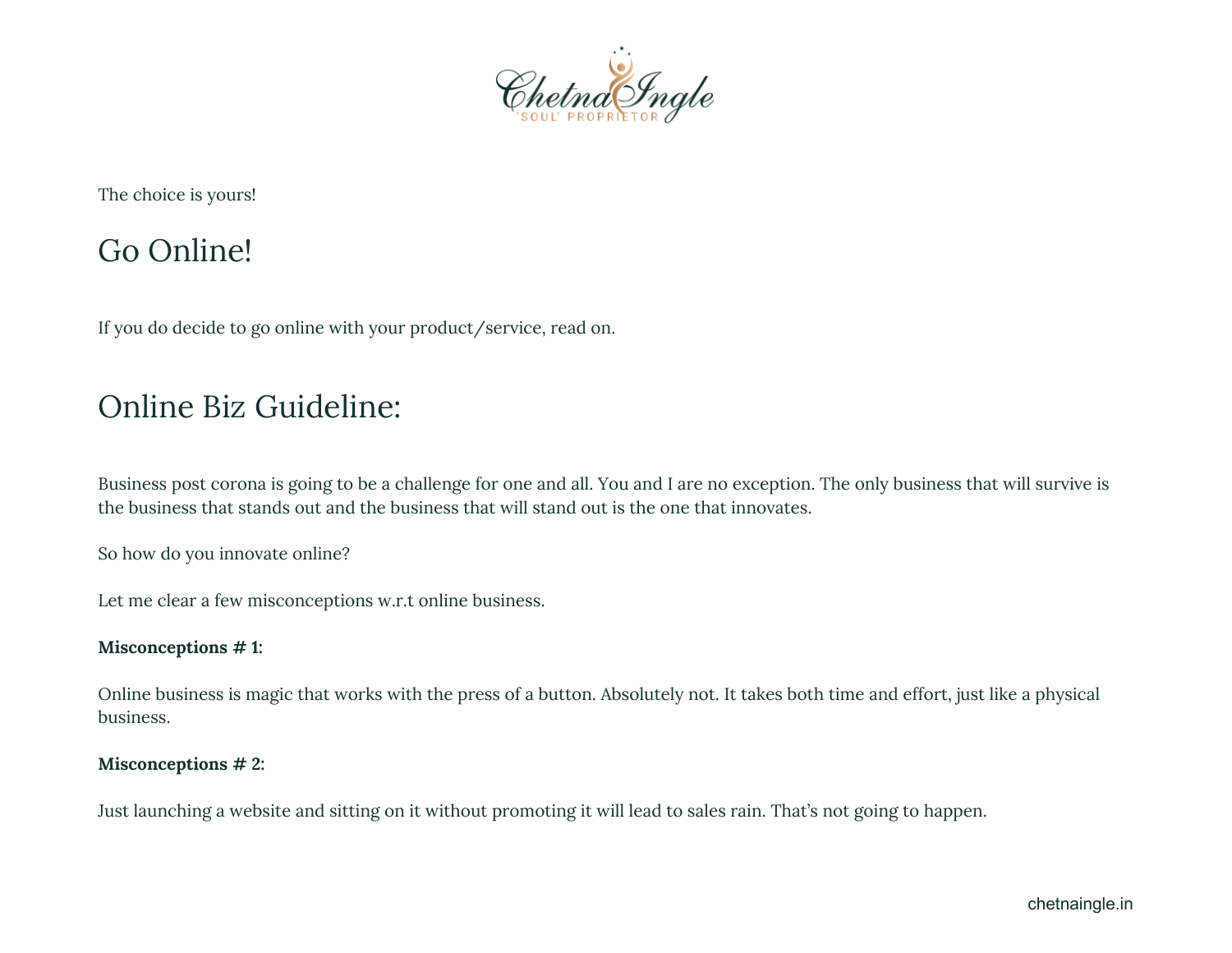

The choice is yours!

### Go Online!

If you do decide to go online with your product/service, read on.

# Online Biz Guideline:

Business post corona is going to be a challenge for one and all. You and I are no exception. The only business that will survive is the business that stands out and the business that will stand out is the one that innovates.

So how do you innovate online?

Let me clear a few misconceptions w.r.t online business.

#### **Misconceptions # 1:**

Online business is magic that works with the press of a button. Absolutely not. It takes both time and effort, just like a physical business.

#### **Misconceptions # 2:**

Just launching a website and sitting on it without promoting it will lead to sales rain. That's not going to happen.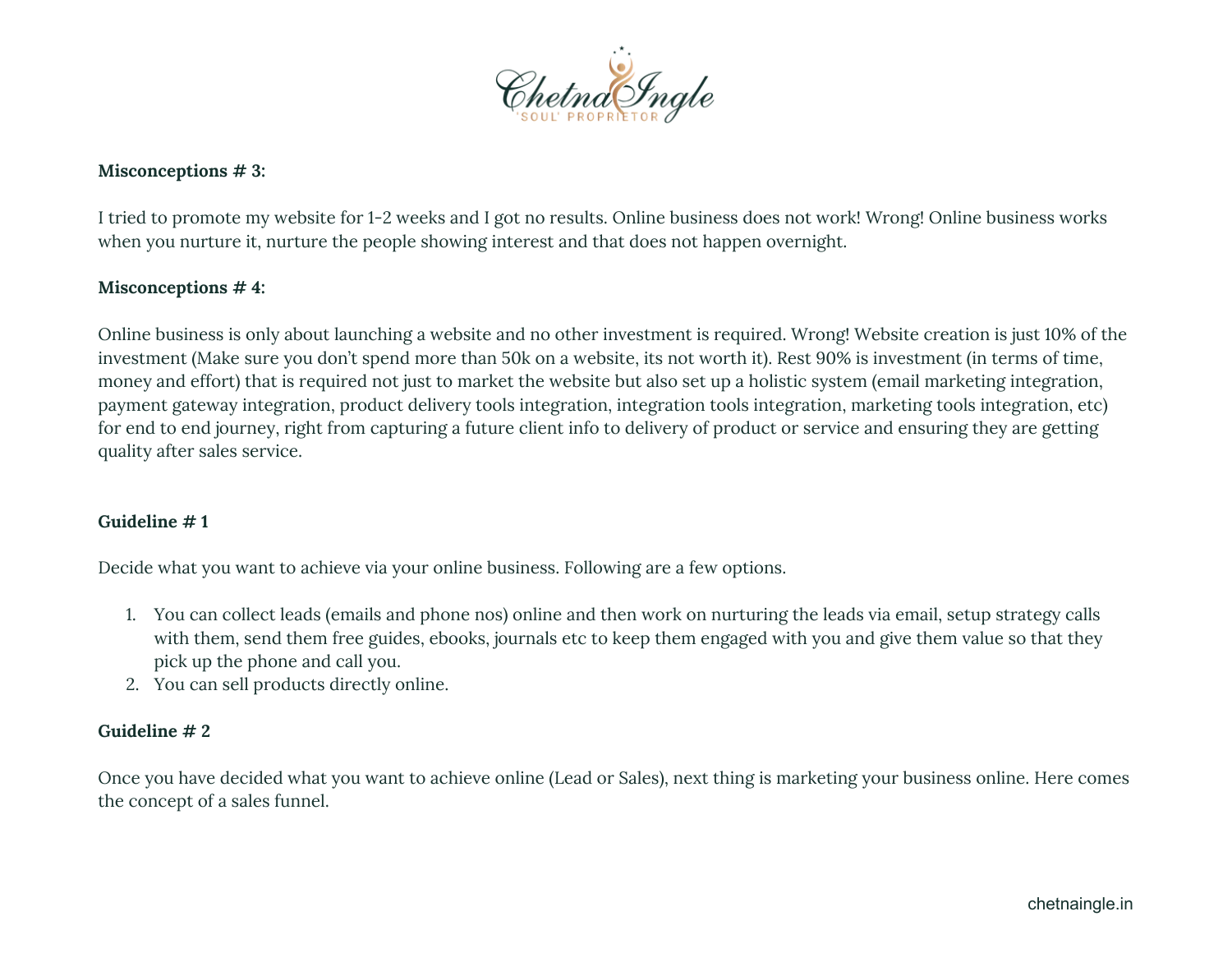

#### **Misconceptions # 3:**

I tried to promote my website for 1-2 weeks and I got no results. Online business does not work! Wrong! Online business works when you nurture it, nurture the people showing interest and that does not happen overnight.

#### **Misconceptions # 4:**

Online business is only about launching a website and no other investment is required. Wrong! Website creation is just 10% of the investment (Make sure you don't spend more than 50k on a website, its not worth it). Rest 90% is investment (in terms of time, money and effort) that is required not just to market the website but also set up a holistic system (email marketing integration, payment gateway integration, product delivery tools integration, integration tools integration, marketing tools integration, etc) for end to end journey, right from capturing a future client info to delivery of product or service and ensuring they are getting quality after sales service.

#### **Guideline # 1**

Decide what you want to achieve via your online business. Following are a few options.

- 1. You can collect leads (emails and phone nos) online and then work on nurturing the leads via email, setup strategy calls with them, send them free guides, ebooks, journals etc to keep them engaged with you and give them value so that they pick up the phone and call you.
- 2. You can sell products directly online.

#### **Guideline # 2**

Once you have decided what you want to achieve online (Lead or Sales), next thing is marketing your business online. Here comes the concept of a sales funnel.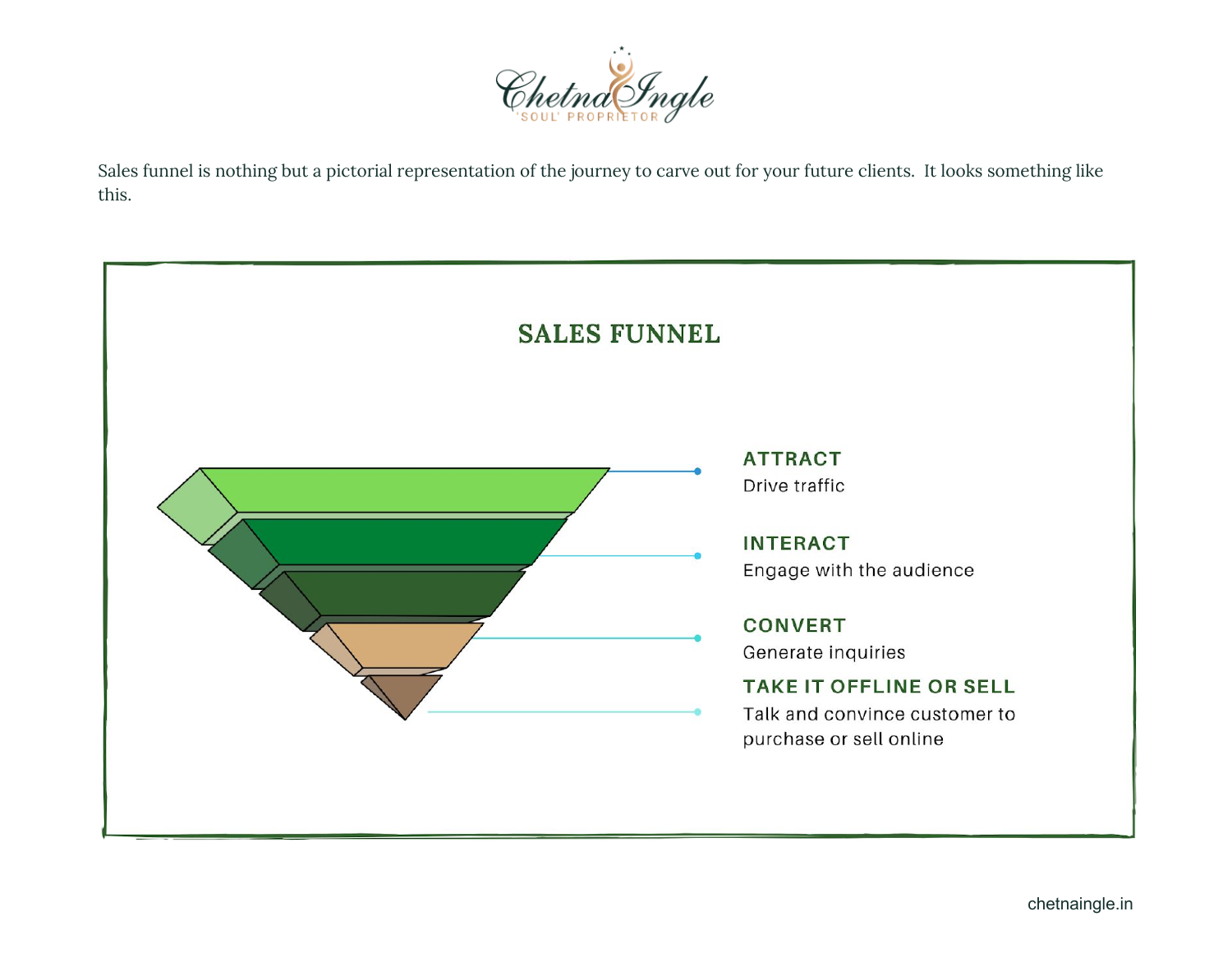

Sales funnel is nothing but a pictorial representation of the journey to carve out for your future clients. It looks something like this.

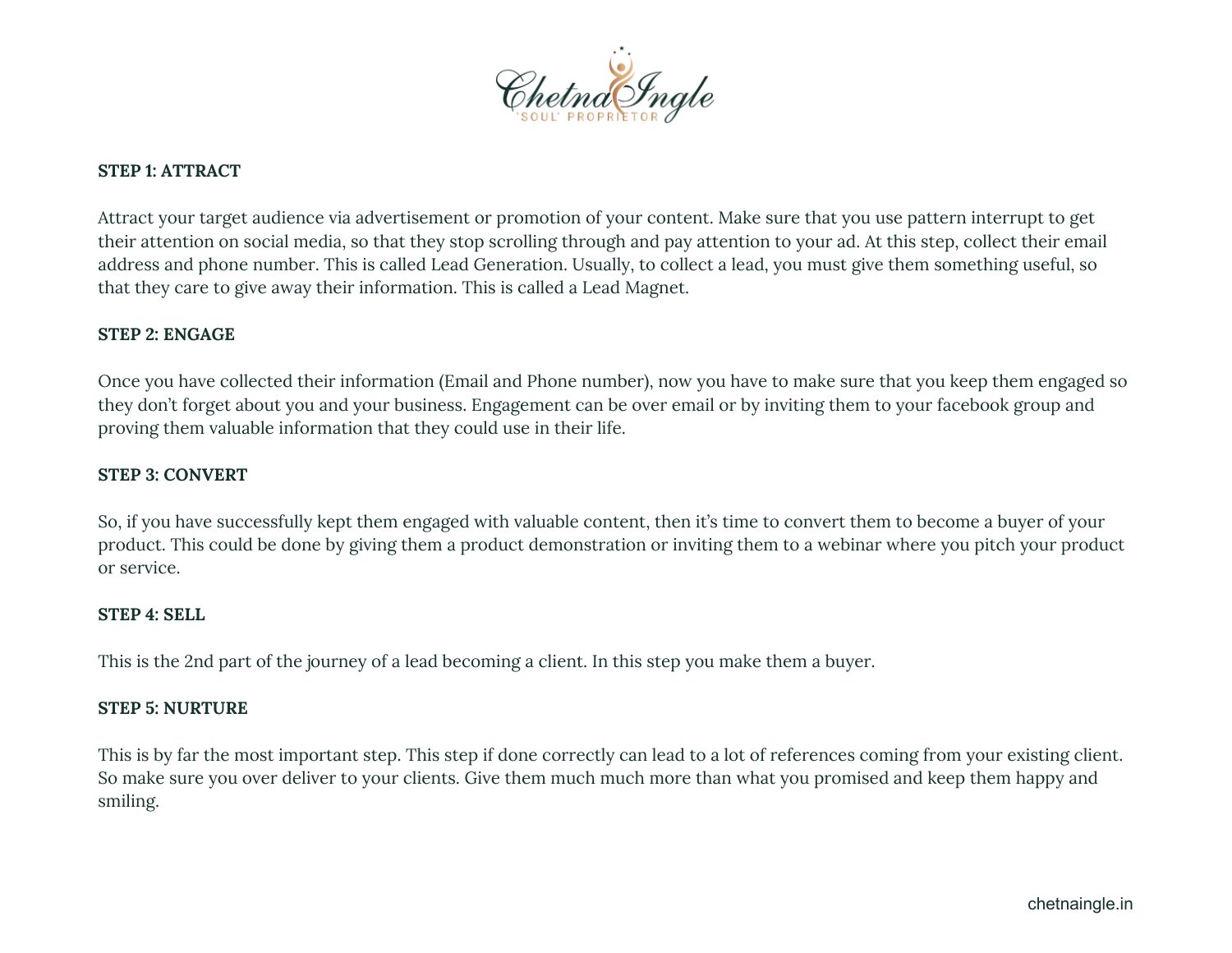

#### **STEP 1: ATTRACT**

Attract your target audience via advertisement or promotion of your content. Make sure that you use pattern interrupt to get their attention on social media, so that they stop scrolling through and pay attention to your ad. At this step, collect their email address and phone number. This is called Lead Generation. Usually, to collect a lead, you must give them something useful, so that they care to give away their information. This is called a Lead Magnet.

#### **STEP 2: ENGAGE**

Once you have collected their information (Email and Phone number), now you have to make sure that you keep them engaged so they don't forget about you and your business. Engagement can be over email or by inviting them to your facebook group and proving them valuable information that they could use in their life.

#### **STEP 3: CONVERT**

So, if you have successfully kept them engaged with valuable content, then it's time to convert them to become a buyer of your product. This could be done by giving them a product demonstration or inviting them to a webinar where you pitch your product or service.

#### **STEP 4: SELL**

This is the 2nd part of the journey of a lead becoming a client. In this step you make them a buyer.

#### **STEP 5: NURTURE**

This is by far the most important step. This step if done correctly can lead to a lot of references coming from your existing client. So make sure you over deliver to your clients. Give them much much more than what you promised and keep them happy and smiling.